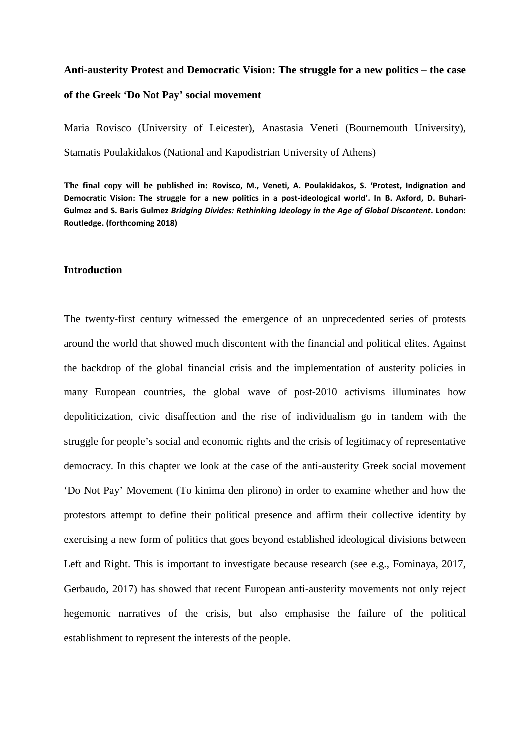# **Anti-austerity Protest and Democratic Vision: The struggle for a new politics – the case of the Greek 'Do Not Pay' social movement**

Maria Rovisco (University of Leicester), Anastasia Veneti (Bournemouth University), Stamatis Poulakidakos (National and Kapodistrian University of Athens)

**The final copy will be published in: Rovisco, M., Veneti, A. Poulakidakos, S. 'Protest, Indignation and Democratic Vision: The struggle for a new politics in a post-ideological world'. In B. Axford, D. Buhari-Gulmez and S. Baris Gulmez** *Bridging Divides: Rethinking Ideology in the Age of Global Discontent***. London: Routledge. (forthcoming 2018)**

#### **Introduction**

The twenty-first century witnessed the emergence of an unprecedented series of protests around the world that showed much discontent with the financial and political elites. Against the backdrop of the global financial crisis and the implementation of austerity policies in many European countries, the global wave of post-2010 activisms illuminates how depoliticization, civic disaffection and the rise of individualism go in tandem with the struggle for people's social and economic rights and the crisis of legitimacy of representative democracy. In this chapter we look at the case of the anti-austerity Greek social movement 'Do Not Pay' Movement (To kinima den plirono) in order to examine whether and how the protestors attempt to define their political presence and affirm their collective identity by exercising a new form of politics that goes beyond established ideological divisions between Left and Right. This is important to investigate because research (see e.g., Fominaya, 2017, Gerbaudo, 2017) has showed that recent European anti-austerity movements not only reject hegemonic narratives of the crisis, but also emphasise the failure of the political establishment to represent the interests of the people.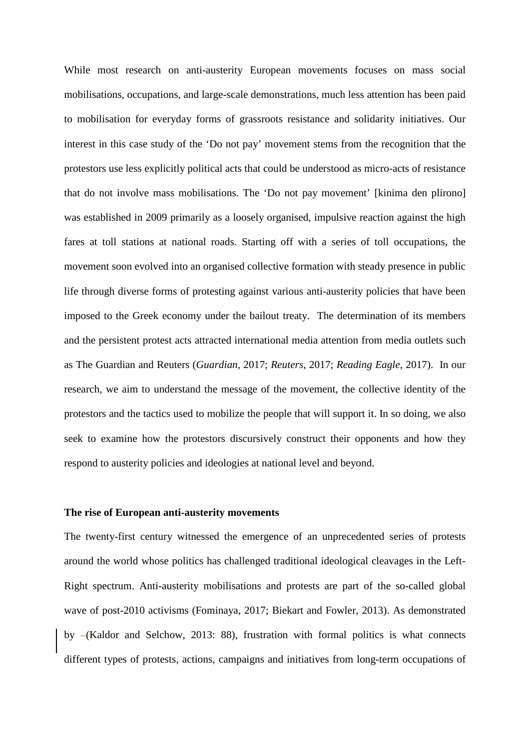While most research on anti-austerity European movements focuses on mass social mobilisations, occupations, and large-scale demonstrations, much less attention has been paid to mobilisation for everyday forms of grassroots resistance and solidarity initiatives. Our interest in this case study of the 'Do not pay' movement stems from the recognition that the protestors use less explicitly political acts that could be understood as micro-acts of resistance that do not involve mass mobilisations. The 'Do not pay movement' [kinima den plirono] was established in 2009 primarily as a loosely organised, impulsive reaction against the high fares at toll stations at national roads. Starting off with a series of toll occupations, the movement soon evolved into an organised collective formation with steady presence in public life through diverse forms of protesting against various anti-austerity policies that have been imposed to the Greek economy under the bailout treaty. The determination of its members and the persistent protest acts attracted international media attention from media outlets such as The Guardian and Reuters (*Guardian*, 2017; *Reuters*, 2017; *Reading Eagle*, 2017). In our research, we aim to understand the message of the movement, the collective identity of the protestors and the tactics used to mobilize the people that will support it. In so doing, we also seek to examine how the protestors discursively construct their opponents and how they respond to austerity policies and ideologies at national level and beyond.

#### **The rise of European anti-austerity movements**

The twenty-first century witnessed the emergence of an unprecedented series of protests around the world whose politics has challenged traditional ideological cleavages in the Left-Right spectrum. Anti-austerity mobilisations and protests are part of the so-called global wave of post-2010 activisms (Fominaya, 2017; Biekart and Fowler, 2013). As demonstrated by (Kaldor and Selchow, 2013: 88), frustration with formal politics is what connects different types of protests, actions, campaigns and initiatives from long-term occupations of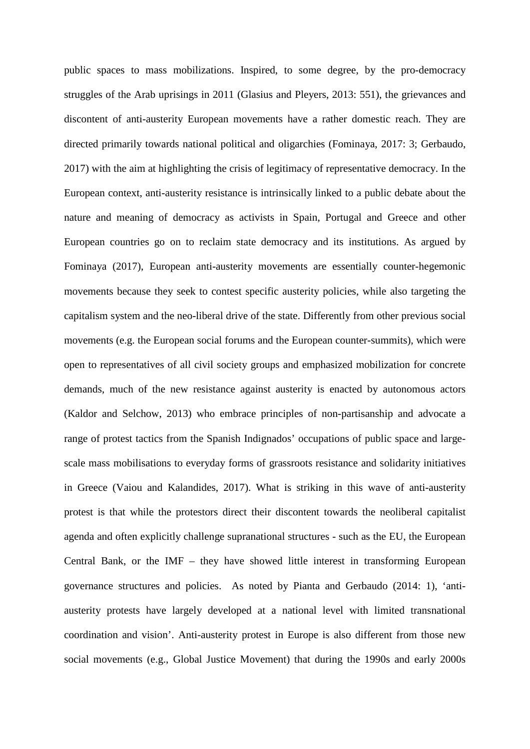public spaces to mass mobilizations. Inspired, to some degree, by the pro-democracy struggles of the Arab uprisings in 2011 (Glasius and Pleyers, 2013: 551), the grievances and discontent of anti-austerity European movements have a rather domestic reach. They are directed primarily towards national political and oligarchies (Fominaya, 2017: 3; Gerbaudo, 2017) with the aim at highlighting the crisis of legitimacy of representative democracy. In the European context, anti-austerity resistance is intrinsically linked to a public debate about the nature and meaning of democracy as activists in Spain, Portugal and Greece and other European countries go on to reclaim state democracy and its institutions. As argued by Fominaya (2017), European anti-austerity movements are essentially counter-hegemonic movements because they seek to contest specific austerity policies, while also targeting the capitalism system and the neo-liberal drive of the state. Differently from other previous social movements (e.g. the European social forums and the European counter-summits), which were open to representatives of all civil society groups and emphasized mobilization for concrete demands, much of the new resistance against austerity is enacted by autonomous actors (Kaldor and Selchow, 2013) who embrace principles of non-partisanship and advocate a range of protest tactics from the Spanish Indignados' occupations of public space and largescale mass mobilisations to everyday forms of grassroots resistance and solidarity initiatives in Greece (Vaiou and Kalandides, 2017). What is striking in this wave of anti-austerity protest is that while the protestors direct their discontent towards the neoliberal capitalist agenda and often explicitly challenge supranational structures - such as the EU, the European Central Bank, or the IMF – they have showed little interest in transforming European governance structures and policies. As noted by Pianta and Gerbaudo (2014: 1), 'antiausterity protests have largely developed at a national level with limited transnational coordination and vision'. Anti-austerity protest in Europe is also different from those new social movements (e.g., Global Justice Movement) that during the 1990s and early 2000s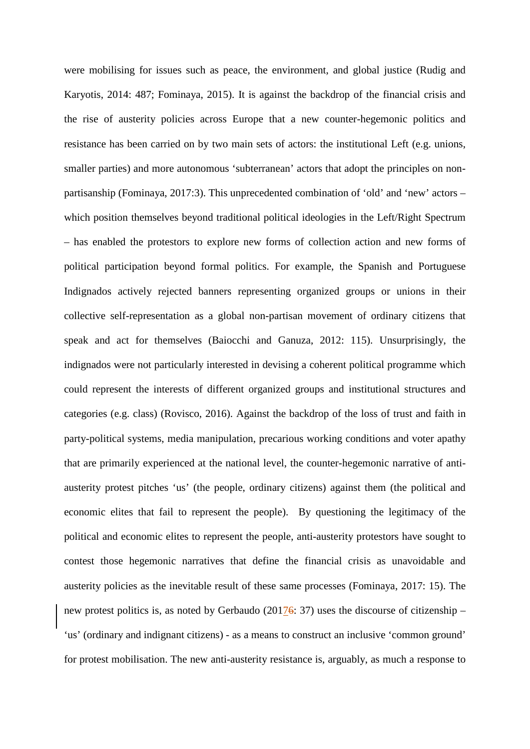were mobilising for issues such as peace, the environment, and global justice (Rudig and Karyotis, 2014: 487; Fominaya, 2015). It is against the backdrop of the financial crisis and the rise of austerity policies across Europe that a new counter-hegemonic politics and resistance has been carried on by two main sets of actors: the institutional Left (e.g. unions, smaller parties) and more autonomous 'subterranean' actors that adopt the principles on nonpartisanship (Fominaya, 2017:3). This unprecedented combination of 'old' and 'new' actors – which position themselves beyond traditional political ideologies in the Left/Right Spectrum – has enabled the protestors to explore new forms of collection action and new forms of political participation beyond formal politics. For example, the Spanish and Portuguese Indignados actively rejected banners representing organized groups or unions in their collective self-representation as a global non-partisan movement of ordinary citizens that speak and act for themselves (Baiocchi and Ganuza, 2012: 115). Unsurprisingly, the indignados were not particularly interested in devising a coherent political programme which could represent the interests of different organized groups and institutional structures and categories (e.g. class) (Rovisco, 2016). Against the backdrop of the loss of trust and faith in party-political systems, media manipulation, precarious working conditions and voter apathy that are primarily experienced at the national level, the counter-hegemonic narrative of antiausterity protest pitches 'us' (the people, ordinary citizens) against them (the political and economic elites that fail to represent the people). By questioning the legitimacy of the political and economic elites to represent the people, anti-austerity protestors have sought to contest those hegemonic narratives that define the financial crisis as unavoidable and austerity policies as the inevitable result of these same processes (Fominaya, 2017: 15). The new protest politics is, as noted by Gerbaudo (20176: 37) uses the discourse of citizenship – 'us' (ordinary and indignant citizens) - as a means to construct an inclusive 'common ground' for protest mobilisation. The new anti-austerity resistance is, arguably, as much a response to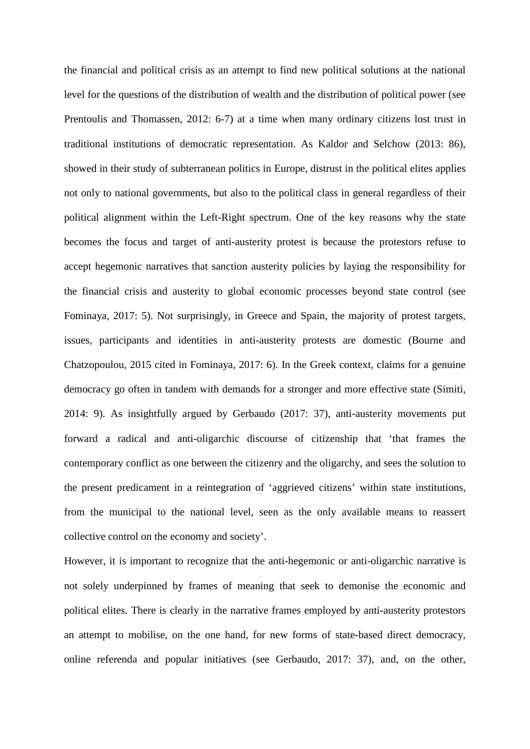the financial and political crisis as an attempt to find new political solutions at the national level for the questions of the distribution of wealth and the distribution of political power (see Prentoulis and Thomassen, 2012: 6-7) at a time when many ordinary citizens lost trust in traditional institutions of democratic representation. As Kaldor and Selchow (2013: 86), showed in their study of subterranean politics in Europe, distrust in the political elites applies not only to national governments, but also to the political class in general regardless of their political alignment within the Left-Right spectrum. One of the key reasons why the state becomes the focus and target of anti-austerity protest is because the protestors refuse to accept hegemonic narratives that sanction austerity policies by laying the responsibility for the financial crisis and austerity to global economic processes beyond state control (see Fominaya, 2017: 5). Not surprisingly, in Greece and Spain, the majority of protest targets, issues, participants and identities in anti-austerity protests are domestic (Bourne and Chatzopoulou, 2015 cited in Fominaya, 2017: 6). In the Greek context, claims for a genuine democracy go often in tandem with demands for a stronger and more effective state (Simiti, 2014: 9). As insightfully argued by Gerbaudo (2017: 37), anti-austerity movements put forward a radical and anti-oligarchic discourse of citizenship that 'that frames the contemporary conflict as one between the citizenry and the oligarchy, and sees the solution to the present predicament in a reintegration of 'aggrieved citizens' within state institutions, from the municipal to the national level, seen as the only available means to reassert collective control on the economy and society'.

However, it is important to recognize that the anti-hegemonic or anti-oligarchic narrative is not solely underpinned by frames of meaning that seek to demonise the economic and political elites. There is clearly in the narrative frames employed by anti-austerity protestors an attempt to mobilise, on the one hand, for new forms of state-based direct democracy, online referenda and popular initiatives (see Gerbaudo, 2017: 37), and, on the other,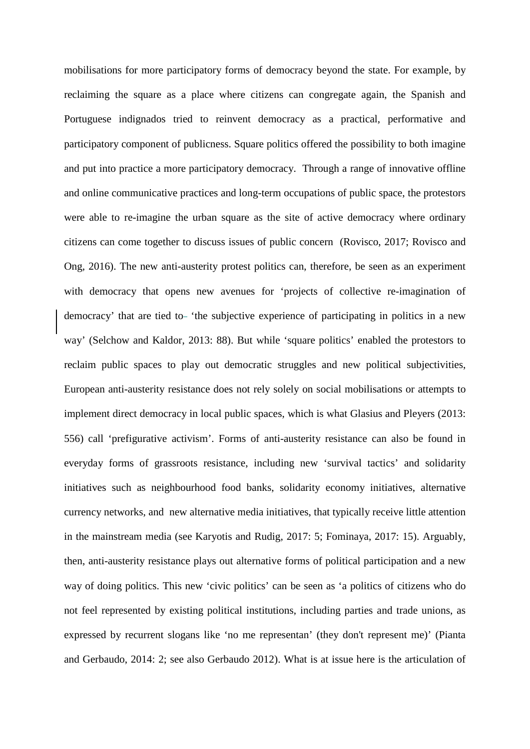mobilisations for more participatory forms of democracy beyond the state. For example, by reclaiming the square as a place where citizens can congregate again, the Spanish and Portuguese indignados tried to reinvent democracy as a practical, performative and participatory component of publicness. Square politics offered the possibility to both imagine and put into practice a more participatory democracy. Through a range of innovative offline and online communicative practices and long-term occupations of public space, the protestors were able to re-imagine the urban square as the site of active democracy where ordinary citizens can come together to discuss issues of public concern (Rovisco, 2017; Rovisco and Ong, 2016). The new anti-austerity protest politics can, therefore, be seen as an experiment with democracy that opens new avenues for 'projects of collective re-imagination of democracy' that are tied to- 'the subjective experience of participating in politics in a new way' (Selchow and Kaldor, 2013: 88). But while 'square politics' enabled the protestors to reclaim public spaces to play out democratic struggles and new political subjectivities, European anti-austerity resistance does not rely solely on social mobilisations or attempts to implement direct democracy in local public spaces, which is what Glasius and Pleyers (2013: 556) call 'prefigurative activism'. Forms of anti-austerity resistance can also be found in everyday forms of grassroots resistance, including new 'survival tactics' and solidarity initiatives such as neighbourhood food banks, solidarity economy initiatives, alternative currency networks, and new alternative media initiatives, that typically receive little attention in the mainstream media (see Karyotis and Rudig, 2017: 5; Fominaya, 2017: 15). Arguably, then, anti-austerity resistance plays out alternative forms of political participation and a new way of doing politics. This new 'civic politics' can be seen as 'a politics of citizens who do not feel represented by existing political institutions, including parties and trade unions, as expressed by recurrent slogans like 'no me representan' (they don't represent me)' (Pianta and Gerbaudo, 2014: 2; see also Gerbaudo 2012). What is at issue here is the articulation of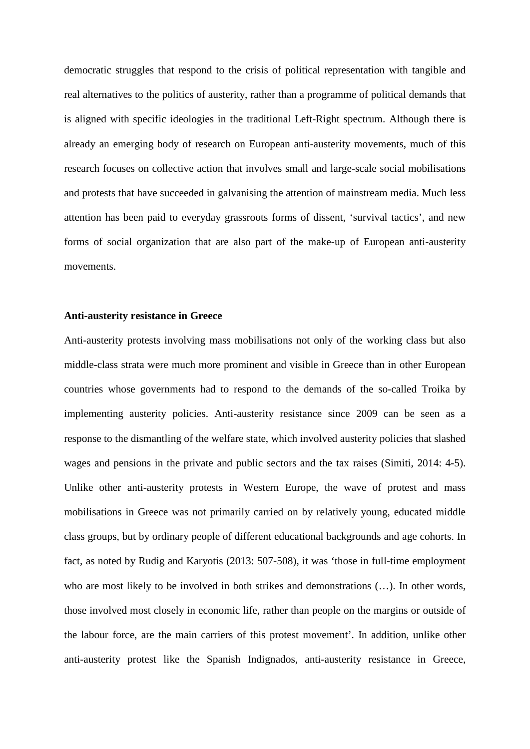democratic struggles that respond to the crisis of political representation with tangible and real alternatives to the politics of austerity, rather than a programme of political demands that is aligned with specific ideologies in the traditional Left-Right spectrum. Although there is already an emerging body of research on European anti-austerity movements, much of this research focuses on collective action that involves small and large-scale social mobilisations and protests that have succeeded in galvanising the attention of mainstream media. Much less attention has been paid to everyday grassroots forms of dissent, 'survival tactics', and new forms of social organization that are also part of the make-up of European anti-austerity movements.

## **Anti-austerity resistance in Greece**

Anti-austerity protests involving mass mobilisations not only of the working class but also middle-class strata were much more prominent and visible in Greece than in other European countries whose governments had to respond to the demands of the so-called Troika by implementing austerity policies. Anti-austerity resistance since 2009 can be seen as a response to the dismantling of the welfare state, which involved austerity policies that slashed wages and pensions in the private and public sectors and the tax raises (Simiti, 2014: 4-5). Unlike other anti-austerity protests in Western Europe, the wave of protest and mass mobilisations in Greece was not primarily carried on by relatively young, educated middle class groups, but by ordinary people of different educational backgrounds and age cohorts. In fact, as noted by Rudig and Karyotis (2013: 507-508), it was 'those in full-time employment who are most likely to be involved in both strikes and demonstrations (…). In other words, those involved most closely in economic life, rather than people on the margins or outside of the labour force, are the main carriers of this protest movement'. In addition, unlike other anti-austerity protest like the Spanish Indignados, anti-austerity resistance in Greece,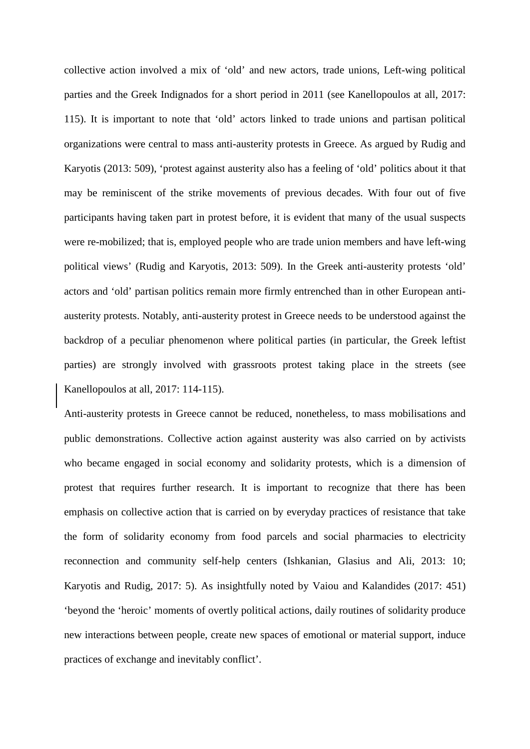collective action involved a mix of 'old' and new actors, trade unions, Left-wing political parties and the Greek Indignados for a short period in 2011 (see Kanellopoulos at all, 2017: 115). It is important to note that 'old' actors linked to trade unions and partisan political organizations were central to mass anti-austerity protests in Greece. As argued by Rudig and Karyotis (2013: 509), 'protest against austerity also has a feeling of 'old' politics about it that may be reminiscent of the strike movements of previous decades. With four out of five participants having taken part in protest before, it is evident that many of the usual suspects were re-mobilized; that is, employed people who are trade union members and have left-wing political views' (Rudig and Karyotis, 2013: 509). In the Greek anti-austerity protests 'old' actors and 'old' partisan politics remain more firmly entrenched than in other European antiausterity protests. Notably, anti-austerity protest in Greece needs to be understood against the backdrop of a peculiar phenomenon where political parties (in particular, the Greek leftist parties) are strongly involved with grassroots protest taking place in the streets (see Kanellopoulos at all, 2017: 114-115).

Anti-austerity protests in Greece cannot be reduced, nonetheless, to mass mobilisations and public demonstrations. Collective action against austerity was also carried on by activists who became engaged in social economy and solidarity protests, which is a dimension of protest that requires further research. It is important to recognize that there has been emphasis on collective action that is carried on by everyday practices of resistance that take the form of solidarity economy from food parcels and social pharmacies to electricity reconnection and community self-help centers (Ishkanian, Glasius and Ali, 2013: 10; Karyotis and Rudig, 2017: 5). As insightfully noted by Vaiou and Kalandides (2017: 451) 'beyond the 'heroic' moments of overtly political actions, daily routines of solidarity produce new interactions between people, create new spaces of emotional or material support, induce practices of exchange and inevitably conflict'.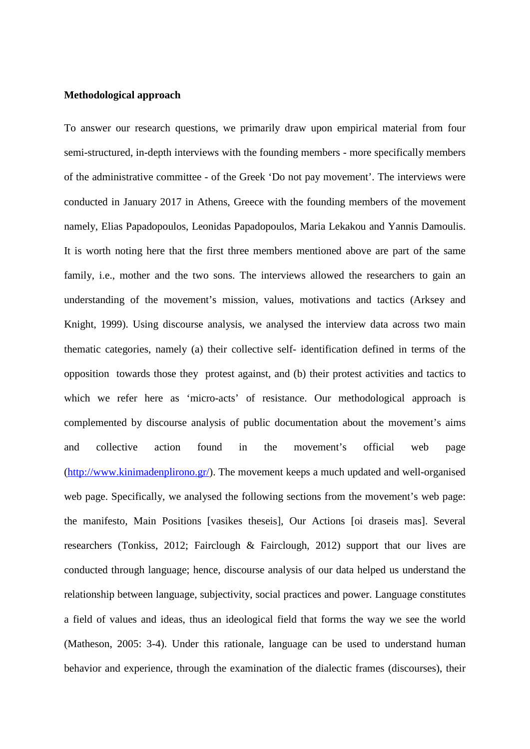#### **Methodological approach**

To answer our research questions, we primarily draw upon empirical material from four semi-structured, in-depth interviews with the founding members - more specifically members of the administrative committee - of the Greek 'Do not pay movement'. The interviews were conducted in January 2017 in Athens, Greece with the founding members of the movement namely, Elias Papadopoulos, Leonidas Papadopoulos, Maria Lekakou and Yannis Damoulis. It is worth noting here that the first three members mentioned above are part of the same family, i.e., mother and the two sons. The interviews allowed the researchers to gain an understanding of the movement's mission, values, motivations and tactics (Arksey and Knight, 1999). Using discourse analysis, we analysed the interview data across two main thematic categories, namely (a) their collective self- identification defined in terms of the opposition towards those they protest against, and (b) their protest activities and tactics to which we refer here as 'micro-acts' of resistance. Our methodological approach is complemented by discourse analysis of public documentation about the movement's aims and collective action found in the movement's official web page [\(http://www.kinimadenplirono.gr/\)](http://www.kinimadenplirono.gr/). The movement keeps a much updated and well-organised web page. Specifically, we analysed the following sections from the movement's web page: the manifesto, Main Positions [vasikes theseis], Our Actions [oi draseis mas]. Several researchers (Tonkiss, 2012; Fairclough & Fairclough, 2012) support that our lives are conducted through language; hence, discourse analysis of our data helped us understand the relationship between language, subjectivity, social practices and power. Language constitutes a field of values and ideas, thus an ideological field that forms the way we see the world (Matheson, 2005: 3-4). Under this rationale, language can be used to understand human behavior and experience, through the examination of the dialectic frames (discourses), their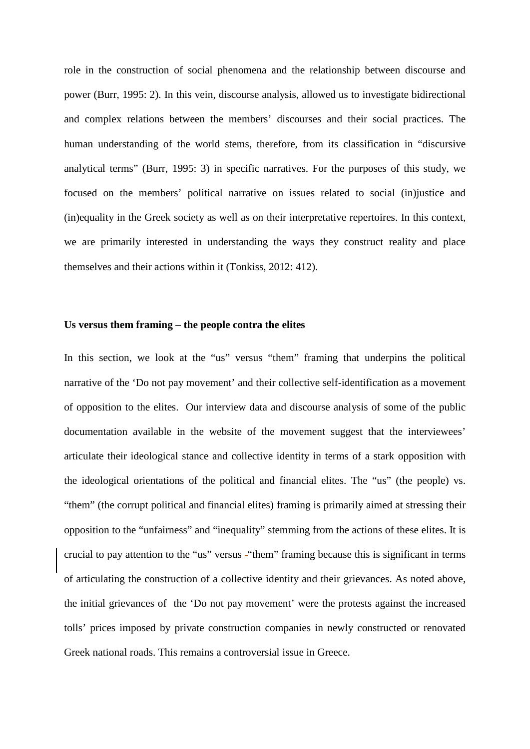role in the construction of social phenomena and the relationship between discourse and power (Burr, 1995: 2). In this vein, discourse analysis, allowed us to investigate bidirectional and complex relations between the members' discourses and their social practices. The human understanding of the world stems, therefore, from its classification in "discursive analytical terms" (Burr, 1995: 3) in specific narratives. For the purposes of this study, we focused on the members' political narrative on issues related to social (in)justice and (in)equality in the Greek society as well as on their interpretative repertoires. In this context, we are primarily interested in understanding the ways they construct reality and place themselves and their actions within it (Tonkiss, 2012: 412).

#### **Us versus them framing – the people contra the elites**

In this section, we look at the "us" versus "them" framing that underpins the political narrative of the 'Do not pay movement' and their collective self-identification as a movement of opposition to the elites. Our interview data and discourse analysis of some of the public documentation available in the website of the movement suggest that the interviewees' articulate their ideological stance and collective identity in terms of a stark opposition with the ideological orientations of the political and financial elites. The "us" (the people) vs. "them" (the corrupt political and financial elites) framing is primarily aimed at stressing their opposition to the "unfairness" and "inequality" stemming from the actions of these elites. It is crucial to pay attention to the "us" versus - "them" framing because this is significant in terms of articulating the construction of a collective identity and their grievances. As noted above, the initial grievances of the 'Do not pay movement' were the protests against the increased tolls' prices imposed by private construction companies in newly constructed or renovated Greek national roads. This remains a controversial issue in Greece.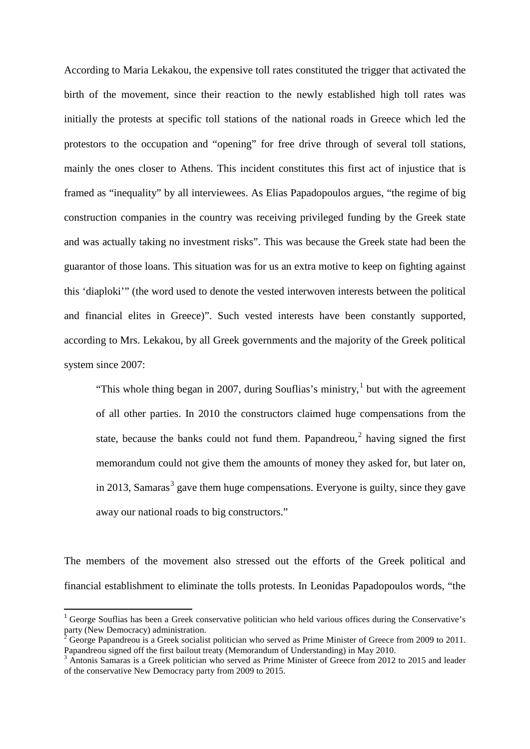According to Maria Lekakou, the expensive toll rates constituted the trigger that activated the birth of the movement, since their reaction to the newly established high toll rates was initially the protests at specific toll stations of the national roads in Greece which led the protestors to the occupation and "opening" for free drive through of several toll stations, mainly the ones closer to Athens. This incident constitutes this first act of injustice that is framed as "inequality" by all interviewees. As Elias Papadopoulos argues, "the regime of big construction companies in the country was receiving privileged funding by the Greek state and was actually taking no investment risks". This was because the Greek state had been the guarantor of those loans. This situation was for us an extra motive to keep on fighting against this 'diaploki'" (the word used to denote the vested interwoven interests between the political and financial elites in Greece)". Such vested interests have been constantly supported, according to Mrs. Lekakou, by all Greek governments and the majority of the Greek political system since 2007:

"This whole thing began in 2007, during Souflias's ministry, but with the agreement of all other parties. In 2010 the constructors claimed huge compensations from the state, because the banks could not fund them. Papandreou, $<sup>2</sup>$  $<sup>2</sup>$  $<sup>2</sup>$  having signed the first</sup> memorandum could not give them the amounts of money they asked for, but later on, in 201[3](#page-10-2), Samaras<sup>3</sup> gave them huge compensations. Everyone is guilty, since they gave away our national roads to big constructors."

The members of the movement also stressed out the efforts of the Greek political and financial establishment to eliminate the tolls protests. In Leonidas Papadopoulos words, "the

<span id="page-10-0"></span><sup>&</sup>lt;sup>1</sup> George Souflias has been a Greek conservative politician who held various offices during the Conservative's party (New Democracy) administration.

<span id="page-10-1"></span>George Papandreou is a Greek socialist politician who served as Prime Minister of Greece from 2009 to 2011. Papandreou signed off the first bailout treaty (Memorandum of Understanding) in May 2010.

<span id="page-10-2"></span><sup>&</sup>lt;sup>3</sup> Antonis Samaras is a Greek politician who served as Prime Minister of Greece from 2012 to 2015 and leader of the conservative New Democracy party from 2009 to 2015.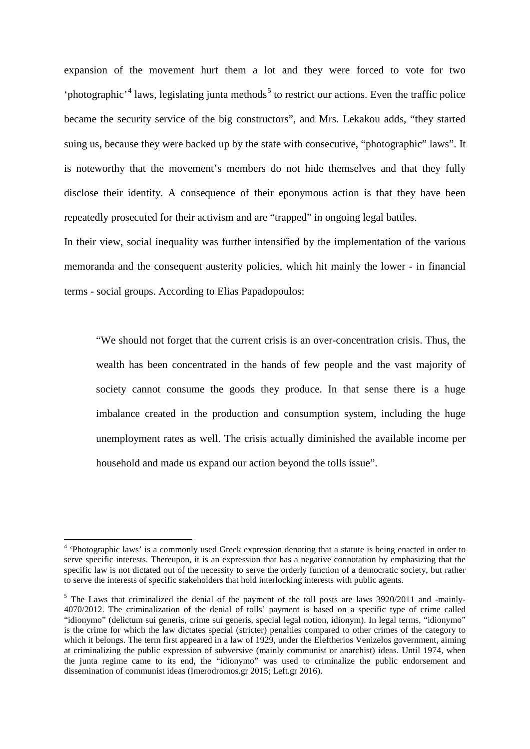expansion of the movement hurt them a lot and they were forced to vote for two 'photographic'<sup>[4](#page-11-0)</sup> laws, legislating junta methods<sup>[5](#page-11-1)</sup> to restrict our actions. Even the traffic police became the security service of the big constructors", and Mrs. Lekakou adds, "they started suing us, because they were backed up by the state with consecutive, "photographic" laws". It is noteworthy that the movement's members do not hide themselves and that they fully disclose their identity. A consequence of their eponymous action is that they have been repeatedly prosecuted for their activism and are "trapped" in ongoing legal battles.

In their view, social inequality was further intensified by the implementation of the various memoranda and the consequent austerity policies, which hit mainly the lower - in financial terms - social groups. According to Elias Papadopoulos:

"We should not forget that the current crisis is an over-concentration crisis. Thus, the wealth has been concentrated in the hands of few people and the vast majority of society cannot consume the goods they produce. In that sense there is a huge imbalance created in the production and consumption system, including the huge unemployment rates as well. The crisis actually diminished the available income per household and made us expand our action beyond the tolls issue".

<span id="page-11-0"></span><sup>&</sup>lt;sup>4</sup> 'Photographic laws' is a commonly used Greek expression denoting that a statute is being enacted in order to serve specific interests. Thereupon, it is an expression that has a negative connotation by emphasizing that the specific law is not dictated out of the necessity to serve the orderly function of a democratic society, but rather to serve the interests of specific stakeholders that hold interlocking interests with public agents.

<span id="page-11-1"></span><sup>&</sup>lt;sup>5</sup> The Laws that criminalized the denial of the payment of the toll posts are laws 3920/2011 and -mainly-4070/2012. The criminalization of the denial of tolls' payment is based on a specific type of crime called "idionymo" (delictum sui generis, crime sui generis, special legal notion, idionym). In legal terms, "idionymo" is the crime for which the law dictates special (stricter) penalties compared to other crimes of the category to which it belongs. The term first appeared in a law of 1929, under the Eleftherios Venizelos government, aiming at criminalizing the public expression of subversive (mainly communist or anarchist) ideas. Until 1974, when the junta regime came to its end, the "idionymo" was used to criminalize the public endorsement and dissemination of communist ideas (Imerodromos.gr 2015; Left.gr 2016).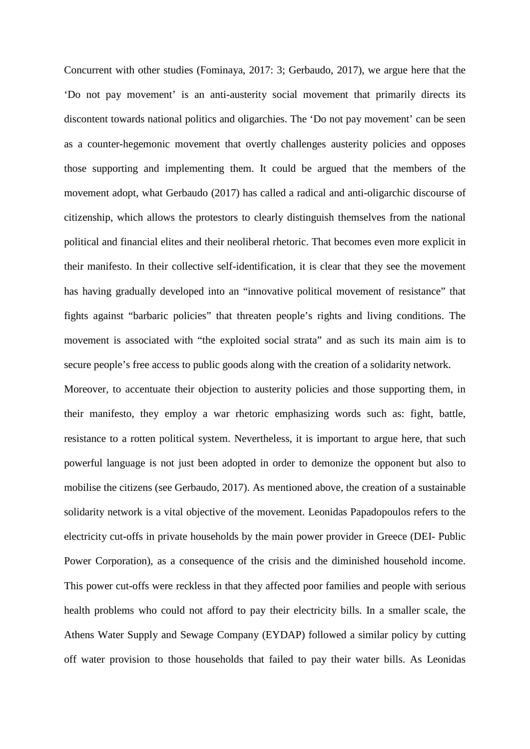Concurrent with other studies (Fominaya, 2017: 3; Gerbaudo, 2017), we argue here that the 'Do not pay movement' is an anti-austerity social movement that primarily directs its discontent towards national politics and oligarchies. The 'Do not pay movement' can be seen as a counter-hegemonic movement that overtly challenges austerity policies and opposes those supporting and implementing them. It could be argued that the members of the movement adopt, what Gerbaudo (2017) has called a radical and anti-oligarchic discourse of citizenship, which allows the protestors to clearly distinguish themselves from the national political and financial elites and their neoliberal rhetoric. That becomes even more explicit in their manifesto. In their collective self-identification, it is clear that they see the movement has having gradually developed into an "innovative political movement of resistance" that fights against "barbaric policies" that threaten people's rights and living conditions. The movement is associated with "the exploited social strata" and as such its main aim is to secure people's free access to public goods along with the creation of a solidarity network.

Moreover, to accentuate their objection to austerity policies and those supporting them, in their manifesto, they employ a war rhetoric emphasizing words such as: fight, battle, resistance to a rotten political system. Nevertheless, it is important to argue here, that such powerful language is not just been adopted in order to demonize the opponent but also to mobilise the citizens (see Gerbaudo, 2017). As mentioned above, the creation of a sustainable solidarity network is a vital objective of the movement. Leonidas Papadopoulos refers to the electricity cut-offs in private households by the main power provider in Greece (DEI- Public Power Corporation), as a consequence of the crisis and the diminished household income. This power cut-offs were reckless in that they affected poor families and people with serious health problems who could not afford to pay their electricity bills. In a smaller scale, the Athens Water Supply and Sewage Company (EYDAP) followed a similar policy by cutting off water provision to those households that failed to pay their water bills. As Leonidas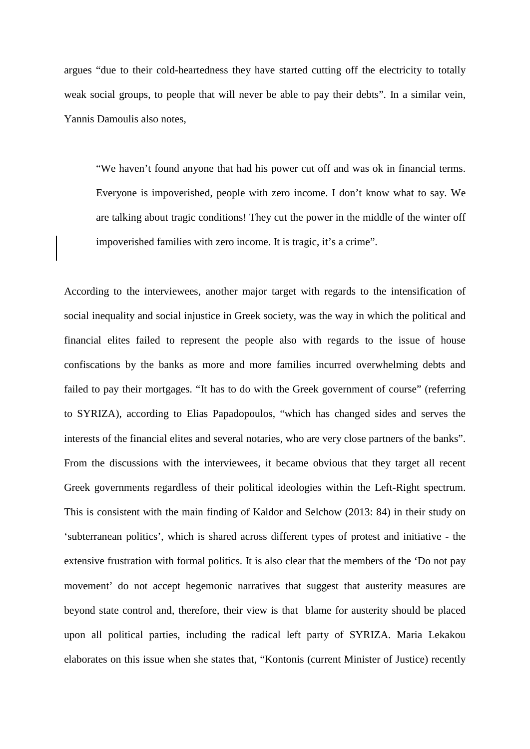argues "due to their cold-heartedness they have started cutting off the electricity to totally weak social groups, to people that will never be able to pay their debts". In a similar vein, Yannis Damoulis also notes,

"We haven't found anyone that had his power cut off and was ok in financial terms. Everyone is impoverished, people with zero income. I don't know what to say. We are talking about tragic conditions! They cut the power in the middle of the winter off impoverished families with zero income. It is tragic, it's a crime".

According to the interviewees, another major target with regards to the intensification of social inequality and social injustice in Greek society, was the way in which the political and financial elites failed to represent the people also with regards to the issue of house confiscations by the banks as more and more families incurred overwhelming debts and failed to pay their mortgages. "It has to do with the Greek government of course" (referring to SYRIZA), according to Elias Papadopoulos, "which has changed sides and serves the interests of the financial elites and several notaries, who are very close partners of the banks". From the discussions with the interviewees, it became obvious that they target all recent Greek governments regardless of their political ideologies within the Left-Right spectrum. This is consistent with the main finding of Kaldor and Selchow (2013: 84) in their study on 'subterranean politics', which is shared across different types of protest and initiative - the extensive frustration with formal politics. It is also clear that the members of the 'Do not pay movement' do not accept hegemonic narratives that suggest that austerity measures are beyond state control and, therefore, their view is that blame for austerity should be placed upon all political parties, including the radical left party of SYRIZA. Maria Lekakou elaborates on this issue when she states that, "Kontonis (current Minister of Justice) recently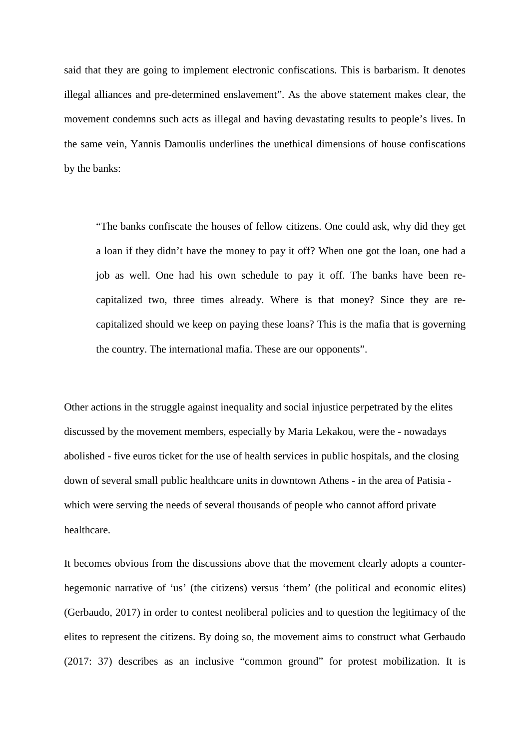said that they are going to implement electronic confiscations. This is barbarism. It denotes illegal alliances and pre-determined enslavement". As the above statement makes clear, the movement condemns such acts as illegal and having devastating results to people's lives. In the same vein, Yannis Damoulis underlines the unethical dimensions of house confiscations by the banks:

"The banks confiscate the houses of fellow citizens. One could ask, why did they get a loan if they didn't have the money to pay it off? When one got the loan, one had a job as well. One had his own schedule to pay it off. The banks have been recapitalized two, three times already. Where is that money? Since they are recapitalized should we keep on paying these loans? This is the mafia that is governing the country. The international mafia. These are our opponents".

Other actions in the struggle against inequality and social injustice perpetrated by the elites discussed by the movement members, especially by Maria Lekakou, were the - nowadays abolished - five euros ticket for the use of health services in public hospitals, and the closing down of several small public healthcare units in downtown Athens - in the area of Patisia which were serving the needs of several thousands of people who cannot afford private healthcare.

It becomes obvious from the discussions above that the movement clearly adopts a counterhegemonic narrative of 'us' (the citizens) versus 'them' (the political and economic elites) (Gerbaudo, 2017) in order to contest neoliberal policies and to question the legitimacy of the elites to represent the citizens. By doing so, the movement aims to construct what Gerbaudo (2017: 37) describes as an inclusive "common ground" for protest mobilization. It is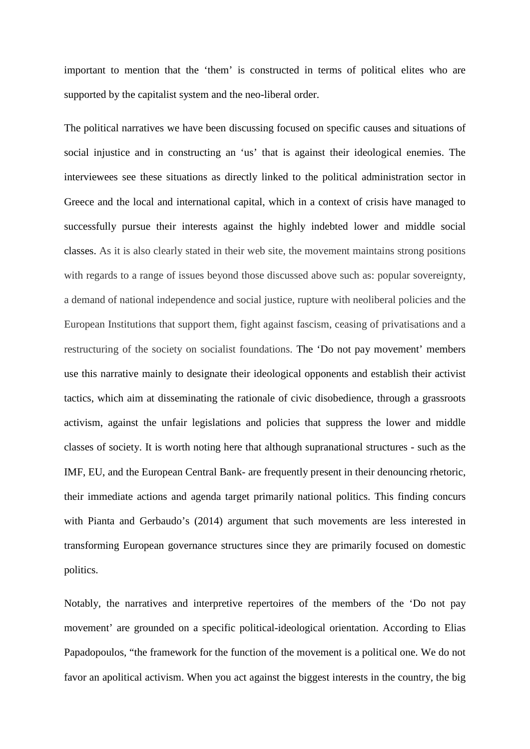important to mention that the 'them' is constructed in terms of political elites who are supported by the capitalist system and the neo-liberal order.

The political narratives we have been discussing focused on specific causes and situations of social injustice and in constructing an 'us' that is against their ideological enemies. The interviewees see these situations as directly linked to the political administration sector in Greece and the local and international capital, which in a context of crisis have managed to successfully pursue their interests against the highly indebted lower and middle social classes. As it is also clearly stated in their web site, the movement maintains strong positions with regards to a range of issues beyond those discussed above such as: popular sovereignty, a demand of national independence and social justice, rupture with neoliberal policies and the European Institutions that support them, fight against fascism, ceasing of privatisations and a restructuring of the society on socialist foundations. The 'Do not pay movement' members use this narrative mainly to designate their ideological opponents and establish their activist tactics, which aim at disseminating the rationale of civic disobedience, through a grassroots activism, against the unfair legislations and policies that suppress the lower and middle classes of society. It is worth noting here that although supranational structures - such as the IMF, EU, and the European Central Bank- are frequently present in their denouncing rhetoric, their immediate actions and agenda target primarily national politics. This finding concurs with Pianta and Gerbaudo's (2014) argument that such movements are less interested in transforming European governance structures since they are primarily focused on domestic politics.

Notably, the narratives and interpretive repertoires of the members of the 'Do not pay movement' are grounded on a specific political-ideological orientation. According to Elias Papadopoulos, "the framework for the function of the movement is a political one. We do not favor an apolitical activism. When you act against the biggest interests in the country, the big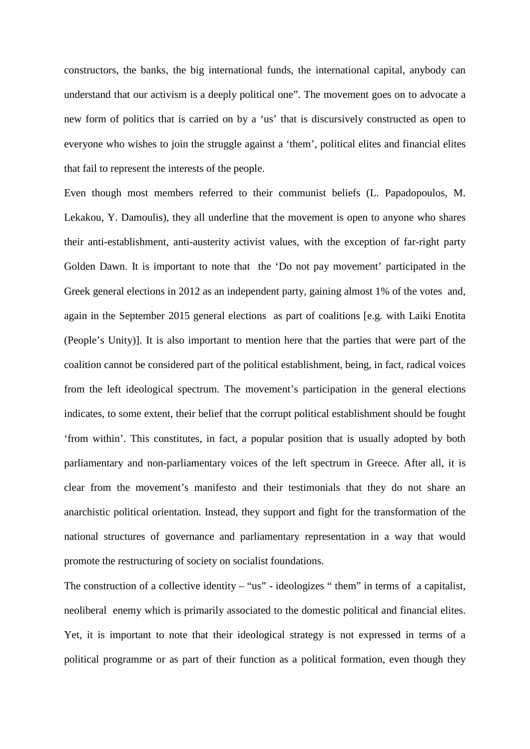constructors, the banks, the big international funds, the international capital, anybody can understand that our activism is a deeply political one". The movement goes on to advocate a new form of politics that is carried on by a 'us' that is discursively constructed as open to everyone who wishes to join the struggle against a 'them', political elites and financial elites that fail to represent the interests of the people.

Even though most members referred to their communist beliefs (L. Papadopoulos, M. Lekakou, Y. Damoulis), they all underline that the movement is open to anyone who shares their anti-establishment, anti-austerity activist values, with the exception of far-right party Golden Dawn. It is important to note that the 'Do not pay movement' participated in the Greek general elections in 2012 as an independent party, gaining almost 1% of the votes and, again in the September 2015 general elections as part of coalitions [e.g. with Laiki Enotita (People's Unity)]. It is also important to mention here that the parties that were part of the coalition cannot be considered part of the political establishment, being, in fact, radical voices from the left ideological spectrum. The movement's participation in the general elections indicates, to some extent, their belief that the corrupt political establishment should be fought 'from within'. This constitutes, in fact, a popular position that is usually adopted by both parliamentary and non-parliamentary voices of the left spectrum in Greece. After all, it is clear from the movement's manifesto and their testimonials that they do not share an anarchistic political orientation. Instead, they support and fight for the transformation of the national structures of governance and parliamentary representation in a way that would promote the restructuring of society on socialist foundations.

The construction of a collective identity – "us" - ideologizes " them" in terms of a capitalist, neoliberal enemy which is primarily associated to the domestic political and financial elites. Yet, it is important to note that their ideological strategy is not expressed in terms of a political programme or as part of their function as a political formation, even though they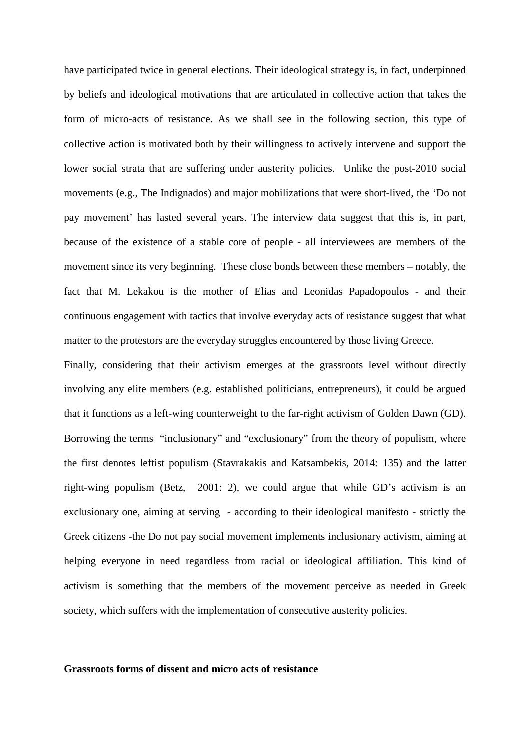have participated twice in general elections. Their ideological strategy is, in fact, underpinned by beliefs and ideological motivations that are articulated in collective action that takes the form of micro-acts of resistance. As we shall see in the following section, this type of collective action is motivated both by their willingness to actively intervene and support the lower social strata that are suffering under austerity policies. Unlike the post-2010 social movements (e.g., The Indignados) and major mobilizations that were short-lived, the 'Do not pay movement' has lasted several years. The interview data suggest that this is, in part, because of the existence of a stable core of people - all interviewees are members of the movement since its very beginning. These close bonds between these members – notably, the fact that M. Lekakou is the mother of Elias and Leonidas Papadopoulos - and their continuous engagement with tactics that involve everyday acts of resistance suggest that what matter to the protestors are the everyday struggles encountered by those living Greece.

Finally, considering that their activism emerges at the grassroots level without directly involving any elite members (e.g. established politicians, entrepreneurs), it could be argued that it functions as a left-wing counterweight to the far-right activism of Golden Dawn (GD). Borrowing the terms "inclusionary" and "exclusionary" from the theory of populism, where the first denotes leftist populism (Stavrakakis and Katsambekis, 2014: 135) and the latter right-wing populism (Betz, 2001: 2), we could argue that while GD's activism is an exclusionary one, aiming at serving - according to their ideological manifesto - strictly the Greek citizens -the Do not pay social movement implements inclusionary activism, aiming at helping everyone in need regardless from racial or ideological affiliation. This kind of activism is something that the members of the movement perceive as needed in Greek society, which suffers with the implementation of consecutive austerity policies.

## **Grassroots forms of dissent and micro acts of resistance**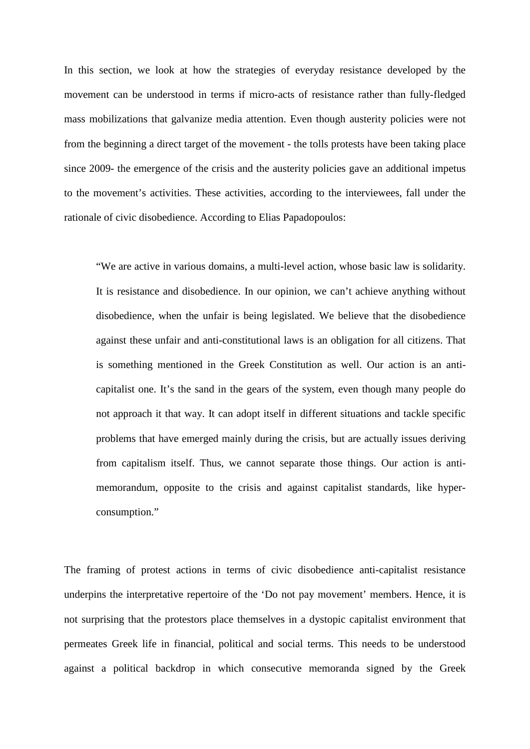In this section, we look at how the strategies of everyday resistance developed by the movement can be understood in terms if micro-acts of resistance rather than fully-fledged mass mobilizations that galvanize media attention. Even though austerity policies were not from the beginning a direct target of the movement - the tolls protests have been taking place since 2009- the emergence of the crisis and the austerity policies gave an additional impetus to the movement's activities. These activities, according to the interviewees, fall under the rationale of civic disobedience. According to Elias Papadopoulos:

"We are active in various domains, a multi-level action, whose basic law is solidarity. It is resistance and disobedience. In our opinion, we can't achieve anything without disobedience, when the unfair is being legislated. We believe that the disobedience against these unfair and anti-constitutional laws is an obligation for all citizens. That is something mentioned in the Greek Constitution as well. Our action is an anticapitalist one. It's the sand in the gears of the system, even though many people do not approach it that way. It can adopt itself in different situations and tackle specific problems that have emerged mainly during the crisis, but are actually issues deriving from capitalism itself. Thus, we cannot separate those things. Our action is antimemorandum, opposite to the crisis and against capitalist standards, like hyperconsumption."

The framing of protest actions in terms of civic disobedience anti-capitalist resistance underpins the interpretative repertoire of the 'Do not pay movement' members. Hence, it is not surprising that the protestors place themselves in a dystopic capitalist environment that permeates Greek life in financial, political and social terms. This needs to be understood against a political backdrop in which consecutive memoranda signed by the Greek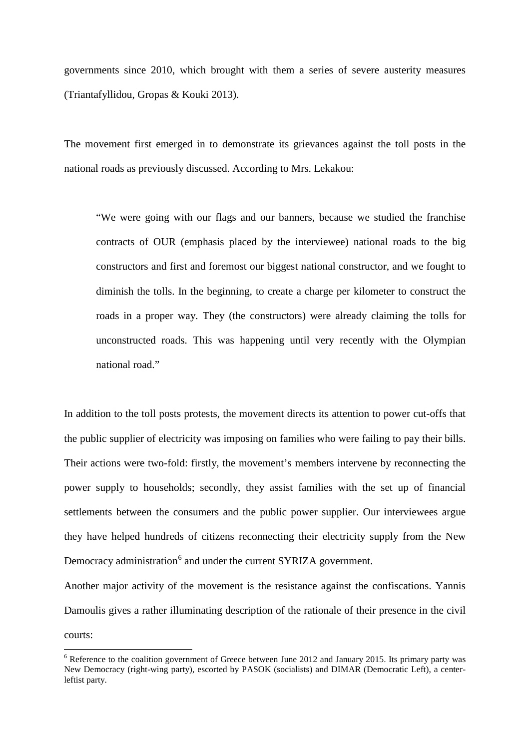governments since 2010, which brought with them a series of severe austerity measures (Triantafyllidou, Gropas & Kouki 2013).

The movement first emerged in to demonstrate its grievances against the toll posts in the national roads as previously discussed. According to Mrs. Lekakou:

"We were going with our flags and our banners, because we studied the franchise contracts of OUR (emphasis placed by the interviewee) national roads to the big constructors and first and foremost our biggest national constructor, and we fought to diminish the tolls. In the beginning, to create a charge per kilometer to construct the roads in a proper way. They (the constructors) were already claiming the tolls for unconstructed roads. This was happening until very recently with the Olympian national road."

In addition to the toll posts protests, the movement directs its attention to power cut-offs that the public supplier of electricity was imposing on families who were failing to pay their bills. Their actions were two-fold: firstly, the movement's members intervene by reconnecting the power supply to households; secondly, they assist families with the set up of financial settlements between the consumers and the public power supplier. Our interviewees argue they have helped hundreds of citizens reconnecting their electricity supply from the New Democracy administration<sup>[6](#page-19-0)</sup> and under the current SYRIZA government.

Another major activity of the movement is the resistance against the confiscations. Yannis Damoulis gives a rather illuminating description of the rationale of their presence in the civil courts:

<span id="page-19-0"></span><sup>6</sup> Reference to the coalition government of Greece between June 2012 and January 2015. Its primary party was New Democracy (right-wing party), escorted by PASOK (socialists) and DIMAR (Democratic Left), a centerleftist party.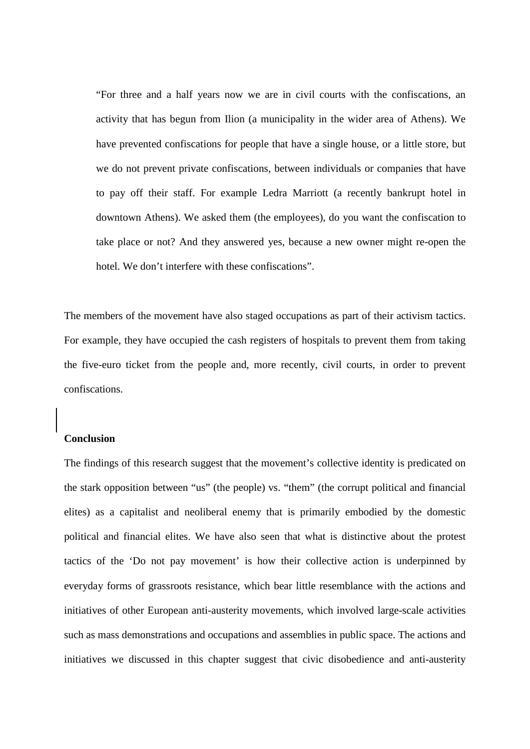"For three and a half years now we are in civil courts with the confiscations, an activity that has begun from Ilion (a municipality in the wider area of Athens). We have prevented confiscations for people that have a single house, or a little store, but we do not prevent private confiscations, between individuals or companies that have to pay off their staff. For example Ledra Marriott (a recently bankrupt hotel in downtown Athens). We asked them (the employees), do you want the confiscation to take place or not? And they answered yes, because a new owner might re-open the hotel. We don't interfere with these confiscations".

The members of the movement have also staged occupations as part of their activism tactics. For example, they have occupied the cash registers of hospitals to prevent them from taking the five-euro ticket from the people and, more recently, civil courts, in order to prevent confiscations.

## **Conclusion**

The findings of this research suggest that the movement's collective identity is predicated on the stark opposition between "us" (the people) vs. "them" (the corrupt political and financial elites) as a capitalist and neoliberal enemy that is primarily embodied by the domestic political and financial elites. We have also seen that what is distinctive about the protest tactics of the 'Do not pay movement' is how their collective action is underpinned by everyday forms of grassroots resistance, which bear little resemblance with the actions and initiatives of other European anti-austerity movements, which involved large-scale activities such as mass demonstrations and occupations and assemblies in public space. The actions and initiatives we discussed in this chapter suggest that civic disobedience and anti-austerity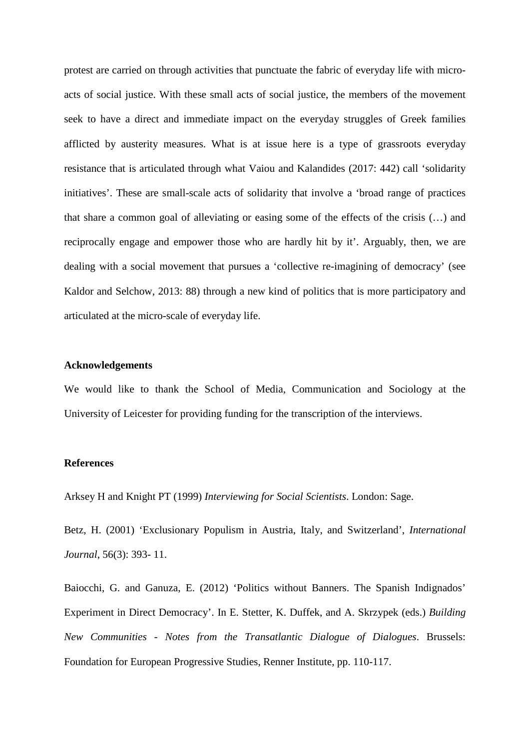protest are carried on through activities that punctuate the fabric of everyday life with microacts of social justice. With these small acts of social justice, the members of the movement seek to have a direct and immediate impact on the everyday struggles of Greek families afflicted by austerity measures. What is at issue here is a type of grassroots everyday resistance that is articulated through what Vaiou and Kalandides (2017: 442) call 'solidarity initiatives'. These are small-scale acts of solidarity that involve a 'broad range of practices that share a common goal of alleviating or easing some of the effects of the crisis (…) and reciprocally engage and empower those who are hardly hit by it'. Arguably, then, we are dealing with a social movement that pursues a 'collective re-imagining of democracy' (see Kaldor and Selchow, 2013: 88) through a new kind of politics that is more participatory and articulated at the micro-scale of everyday life.

## **Acknowledgements**

We would like to thank the School of Media, Communication and Sociology at the University of Leicester for providing funding for the transcription of the interviews.

# **References**

Arksey H and Knight PT (1999) *Interviewing for Social Scientists*. London: Sage.

Betz, H. (2001) 'Exclusionary Populism in Austria, Italy, and Switzerland', *International Journal*, 56(3): 393- 11.

Baiocchi, G. and Ganuza, E. (2012) 'Politics without Banners. The Spanish Indignados' Experiment in Direct Democracy'. In E. Stetter, K. Duffek, and A. Skrzypek (eds.) *Building New Communities - Notes from the Transatlantic Dialogue of Dialogues*. Brussels: Foundation for European Progressive Studies, Renner Institute, pp. 110-117.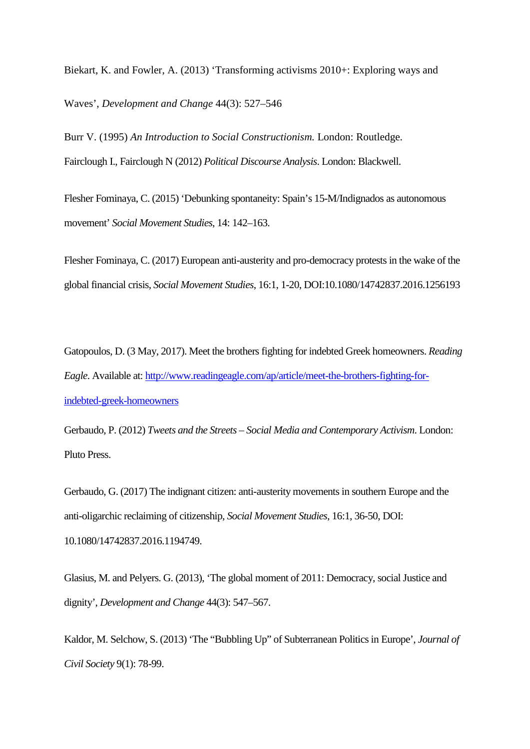Biekart, K. and Fowler, A. (2013) 'Transforming activisms 2010+: Exploring ways and Waves', *Development and Change* 44(3): 527–546

Burr V. (1995) *An Introduction to Social Constructionism.* London: Routledge. Fairclough I., Fairclough N (2012) *Political Discourse Analysis*. London: Blackwell.

Flesher Fominaya, C. (2015) 'Debunking spontaneity: Spain's 15-M/Indignados as autonomous movement' *Social Movement Studies*, 14: 142–163.

Flesher Fominaya, C. (2017) European anti-austerity and pro-democracy protests in the wake of the global financial crisis, *Social Movement Studies*, 16:1, 1-20, DOI:10.1080/14742837.2016.1256193

Gatopoulos, D. (3 May, 2017). Meet the brothers fighting for indebted Greek homeowners. *Reading Eagle*. Available at: [http://www.readingeagle.com/ap/article/meet-the-brothers-fighting-for](http://www.readingeagle.com/ap/article/meet-the-brothers-fighting-for-indebted-greek-homeowners)[indebted-greek-homeowners](http://www.readingeagle.com/ap/article/meet-the-brothers-fighting-for-indebted-greek-homeowners)

Gerbaudo, P. (2012) *Tweets and the Streets – Social Media and Contemporary Activism*. London: Pluto Press.

Gerbaudo, G. (2017) The indignant citizen: anti-austerity movements in southern Europe and the anti-oligarchic reclaiming of citizenship, *Social Movement Studies*, 16:1, 36-50, DOI: 10.1080/14742837.2016.1194749.

Glasius, M. and Pelyers. G. (2013), 'The global moment of 2011: Democracy, social Justice and dignity', *Development and Change* 44(3): 547–567.

Kaldor, M. Selchow, S. (2013) 'The "Bubbling Up" of Subterranean Politics in Europe', *Journal of Civil Society* 9(1): 78-99.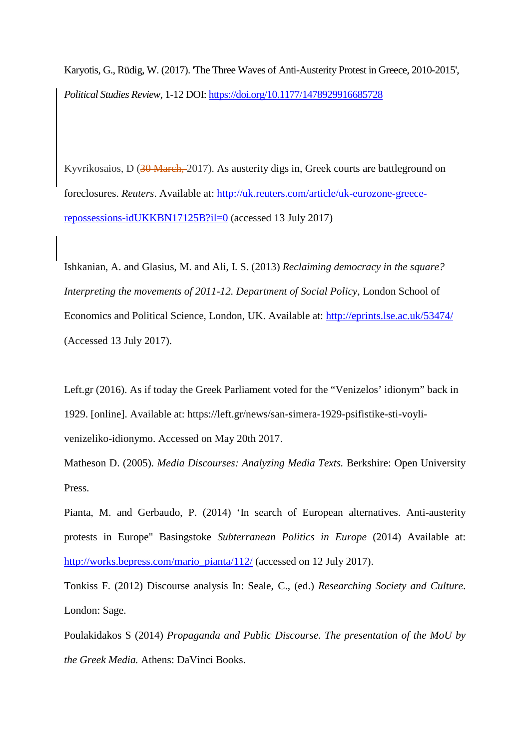Karyotis, G., Rüdig, W. (2017). 'The Three Waves of Anti-Austerity Protest in Greece, 2010-2015', *Political Studies Review*, 1-12 DOI[: https://doi.org/10.1177/1478929916685728](https://doi.org/10.1177/1478929916685728)

Kyvrikosaios, D (30 March, 2017). As austerity digs in, Greek courts are battleground on foreclosures. *Reuters*. Available at: [http://uk.reuters.com/article/uk-eurozone-greece](http://uk.reuters.com/article/uk-eurozone-greece-repossessions-idUKKBN17125B?il=0)[repossessions-idUKKBN17125B?il=0](http://uk.reuters.com/article/uk-eurozone-greece-repossessions-idUKKBN17125B?il=0) (accessed 13 July 2017)

Ishkanian, A. and Glasius, M. and Ali, I. S. (2013) *Reclaiming democracy in the square? Interpreting the movements of 2011-12. Department of Social Policy*, London School of Economics and Political Science, London, UK. Available at:<http://eprints.lse.ac.uk/53474/> (Accessed 13 July 2017).

Left.gr (2016). As if today the Greek Parliament voted for the "Venizelos' idionym" back in 1929. [online]. Available at: https://left.gr/news/san-simera-1929-psifistike-sti-voylivenizeliko-idionymo. Accessed on May 20th 2017.

Matheson D. (2005). *Media Discourses: Analyzing Media Texts.* Berkshire: Open University Press.

Pianta, M. and Gerbaudo, P. (2014) 'In search of European alternatives. Anti-austerity protests in Europe" Basingstoke *Subterranean Politics in Europe* (2014) Available at: [http://works.bepress.com/mario\\_pianta/112/](http://works.bepress.com/mario_pianta/112/) (accessed on 12 July 2017).

Tonkiss F. (2012) Discourse analysis In: Seale, C., (ed.) *Researching Society and Culture*. London: Sage.

Poulakidakos S (2014) *Propaganda and Public Discourse. The presentation of the MoU by the Greek Media.* Athens: DaVinci Books.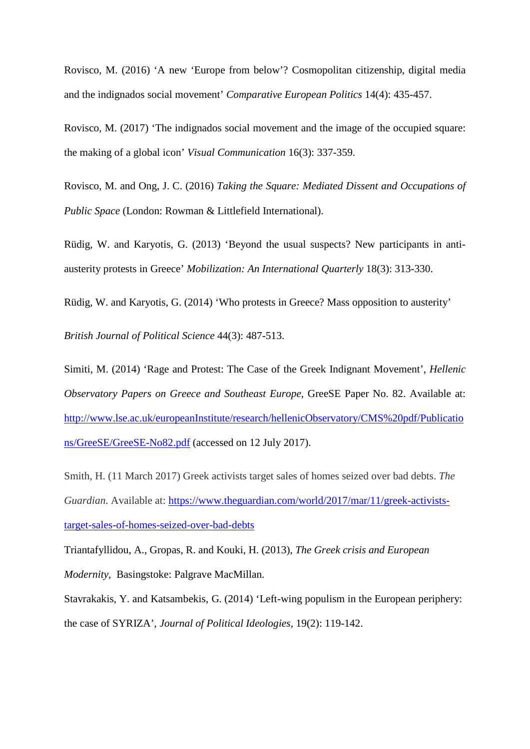Rovisco, M. (2016) 'A new 'Europe from below'? Cosmopolitan citizenship, digital media and the indignados social movement' *Comparative European Politics* 14(4): 435-457.

Rovisco, M. (2017) 'The indignados social movement and the image of the occupied square: the making of a global icon' *Visual Communication* 16(3): 337-359.

Rovisco, M. and Ong, J. C. (2016) *Taking the Square: Mediated Dissent and Occupations of Public Space* (London: Rowman & Littlefield International).

Rüdig, W. and Karyotis, G. (2013) 'Beyond the usual suspects? New participants in antiausterity protests in Greece' *Mobilization: An International Quarterly* 18(3): 313-330.

Rüdig, W. and Karyotis, G. (2014) 'Who protests in Greece? Mass opposition to austerity'

*British Journal of Political Science* 44(3): 487-513.

Simiti, M. (2014) 'Rage and Protest: The Case of the Greek Indignant Movement', *Hellenic Observatory Papers on Greece and Southeast Europe*, GreeSE Paper No. 82. Available at: [http://www.lse.ac.uk/europeanInstitute/research/hellenicObservatory/CMS%20pdf/Publicatio](http://www.lse.ac.uk/europeanInstitute/research/hellenicObservatory/CMS%20pdf/Publications/GreeSE/GreeSE-No82.pdf) [ns/GreeSE/GreeSE-No82.pdf](http://www.lse.ac.uk/europeanInstitute/research/hellenicObservatory/CMS%20pdf/Publications/GreeSE/GreeSE-No82.pdf) (accessed on 12 July 2017).

Smith, H. (11 March 2017) Greek activists target sales of homes seized over bad debts. *The Guardian*. Available at: [https://www.theguardian.com/world/2017/mar/11/greek-activists](https://www.theguardian.com/world/2017/mar/11/greek-activists-target-sales-of-homes-seized-over-bad-debts)[target-sales-of-homes-seized-over-bad-debts](https://www.theguardian.com/world/2017/mar/11/greek-activists-target-sales-of-homes-seized-over-bad-debts)

Triantafyllidou, A., Gropas, R. and Kouki, H. (2013), *The Greek crisis and European Modernity,* Basingstoke: Palgrave MacMillan.

Stavrakakis, Y. and Katsambekis, G. (2014) 'Left-wing populism in the European periphery: the case of SYRIZA', *Journal of Political Ideologies*, 19(2): 119-142.